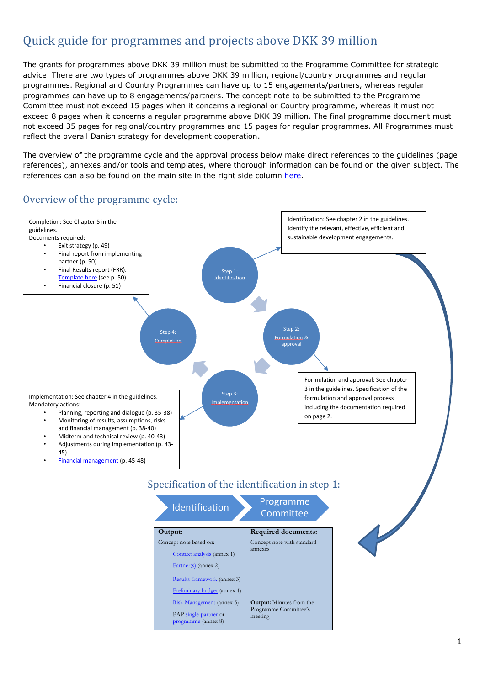## Quick guide for programmes and projects above DKK 39 million

The grants for programmes above DKK 39 million must be submitted to the Programme Committee for strategic advice. There are two types of programmes above DKK 39 million, regional/country programmes and regular programmes. Regional and Country Programmes can have up to 15 engagements/partners, whereas regular programmes can have up to 8 engagements/partners. The concept note to be submitted to the Programme Committee must not exceed 15 pages when it concerns a regional or Country programme, whereas it must not exceed 8 pages when it concerns a regular programme above DKK 39 million. The final programme document must not exceed 35 pages for regional/country programmes and 15 pages for regular programmes. All Programmes must reflect the overall Danish strategy for development cooperation.

The overview of the programme cycle and the approval process below make direct references to the guidelines (page references), annexes and/or tools and templates, where thorough information can be found on the given subject. The references can also be found on the main site in the right side column [here.](http://amg.um.dk/en/programmes-and-projects/january-2018-guidelines-for-programmes-and-projects/)

## Overview of the programme cycle:



PA[P single-partner](http://amg.um.dk/~/media/amg/Documents/Programmes%20and%20Projects/2018%20Jan%20Updated%20Guidelines%20for%20Programmes%20and%20Projects/TOOLS%20AND%20TEMPLATES/4%20Above%20DKK%2039%20million/12%20Template%20for%20PAP%20for%20singlepartner%20projects%20above%20DKK%2039%20million.docx?la=en) or riggian

[programme](http://amg.um.dk/~/media/amg/Documents/Programmes%20and%20Projects/2018%20Jan%20Updated%20Guidelines%20for%20Programmes%20and%20Projects/TOOLS%20AND%20TEMPLATES/4%20Above%20DKK%2039%20million/11%20Template%20for%20PAP%20for%20programmes%20above%20DKK%2039%20million.docx?la=en) (annex 8)

Programme Committee's